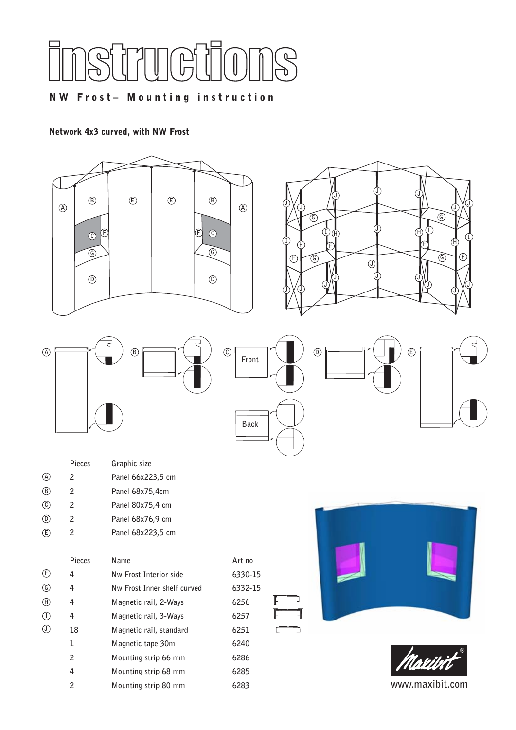

# NW Frost– Mounting instruction

#### Network 4x3 curved, with NW Frost

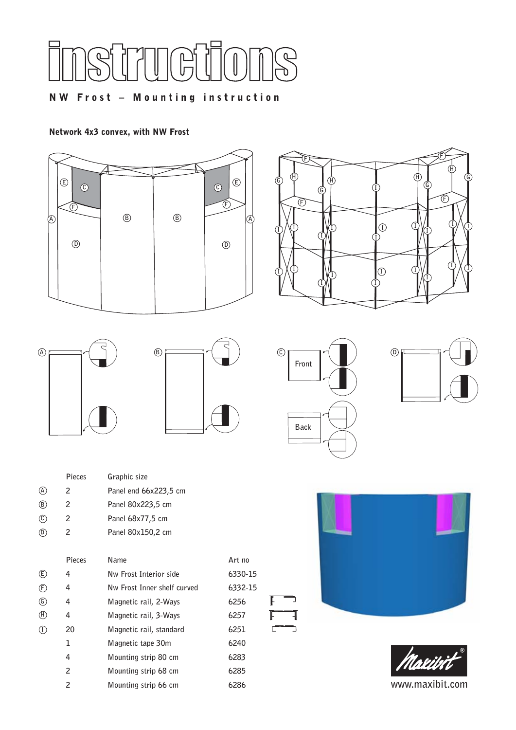

# NW Frost – Mounting instruction

#### Network 4x3 convex, with NW Frost







|     | Pieces | Graphic size          |
|-----|--------|-----------------------|
| (A) | 2      | Panel end 66x223,5 cm |
| (B) | 2      | Panel 80x223,5 cm     |
| (C) | 2      | Panel 68x77,5 cm      |
|     | 2      | Panel 80x150,2 cm     |
|     |        |                       |

|                                | Pieces | Name                        | Art n |
|--------------------------------|--------|-----------------------------|-------|
| $\circled$                     | 4      | Nw Frost Interior side      | 6330  |
| $\circled{F}$                  | 4      | Nw Frost Inner shelf curved | 6332  |
| $\circledS$                    | 4      | Magnetic rail, 2-Ways       | 6256  |
| $(\text{H})$                   | 4      | Magnetic rail, 3-Ways       | 6257  |
| $\textcircled{\scriptsize{I}}$ | 20     | Magnetic rail, standard     | 6251  |
|                                | 1      | Magnetic tape 30m           | 6240  |
|                                | 4      | Mounting strip 80 cm        | 6283  |
|                                | 2      | Mounting strip 68 cm        | 6285  |
|                                | 2      | Mounting strip 66 cm        | 6286  |



Art no **6330-15 6332-15** 

**20 Magnetic rail, standard 6251**

ľ F

 $\sqrt{2}$ 

╕

Þ





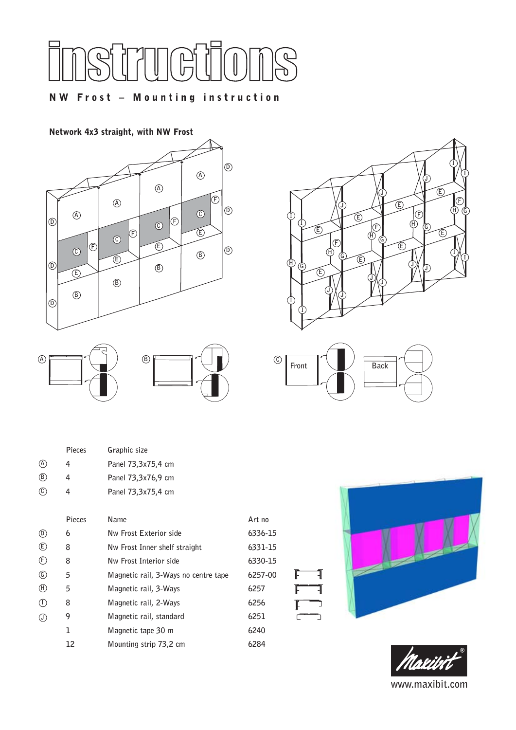

### NW Frost – Mounting instruction

#### Network 4x3 straight, with NW Frost





|     | Pieces | Graphic size       |
|-----|--------|--------------------|
| (A) | Δ.     | Panel 73,3x75,4 cm |
| (B) | Δ.     | Panel 73,3x76,9 cm |
| (C) |        | Panel 73,3x75,4 cm |

|                              | Pieces | Name                                 | Art no  |
|------------------------------|--------|--------------------------------------|---------|
| $\circledcirc$               | 6      | Nw Frost Exterior side               | 6336-15 |
| $\circled$                   | 8      | Nw Frost Inner shelf straight        | 6331-15 |
| (F)                          | 8      | Nw Frost Interior side               | 6330-15 |
| $\mathbb{G}$                 | 5      | Magnetic rail, 3-Ways no centre tape | 6257-00 |
| $(\mathsf{H})$               | 5      | Magnetic rail, 3-Ways                | 6257    |
| $\left( \overline{1}\right)$ | 8      | Magnetic rail, 2-Ways                | 6256    |
| $\left( \mathrm{J}\right)$   | 9      | Magnetic rail, standard              | 6251    |
|                              | 1      | Magnetic tape 30 m                   | 6240    |
|                              | 12     | Mounting strip 73,2 cm               | 6284    |





1

1 Ĺ

Ċ

r  $\mathbf{r}$ 

 $\subset$ 



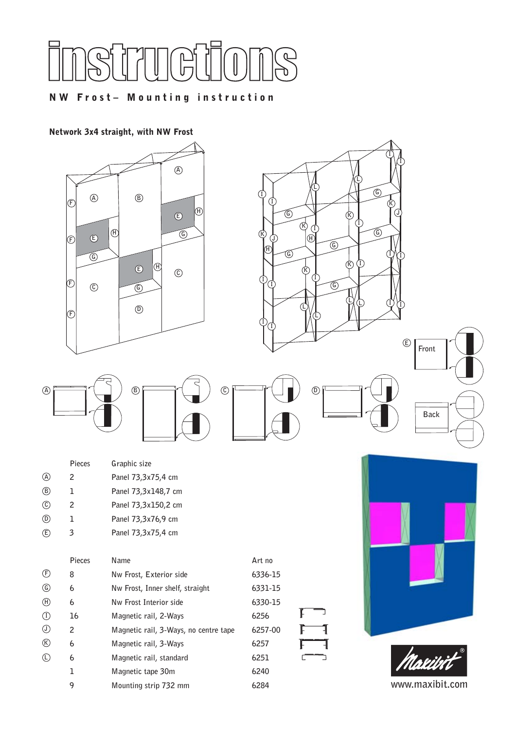

## NW Frost– Mounting instruction

### Network 3x4 straight, with NW Frost







|     | Pieces | Graphic size        |
|-----|--------|---------------------|
| (A) | 2      | Panel 73,3x75,4 cm  |
| (B) | ı      | Panel 73,3x148,7 cm |
| (C) | 2      | Panel 73,3x150,2 cm |
| (D) | ı      | Panel 73,3x76,9 cm  |
| (E  |        | Panel 73.3x75.4 cm  |

| $\mathcal{E}$  | 3      | Panel 73,3x75,4 cm                    |         |  |
|----------------|--------|---------------------------------------|---------|--|
|                | Pieces | Name                                  | Art no  |  |
| (F)            | 8      | Nw Frost, Exterior side               | 6336-15 |  |
| $\circledG$    | 6      | Nw Frost, Inner shelf, straight       | 6331-15 |  |
| $^{\circledR}$ | 6      | Nw Frost Interior side                | 6330-15 |  |
| $\circled{1}$  | 16     | Magnetic rail, 2-Ways                 | 6256    |  |
| $\circledcirc$ | 2      | Magnetic rail, 3-Ways, no centre tape | 6257-00 |  |
| $^{\circledR}$ | 6      | Magnetic rail, 3-Ways                 | 6257    |  |
| ♦              | 6      | Magnetic rail, standard               | 6251    |  |
|                | 1      | Magnetic tape 30m                     | 6240    |  |
|                | 9      | Mounting strip 732 mm                 | 6284    |  |

**C**